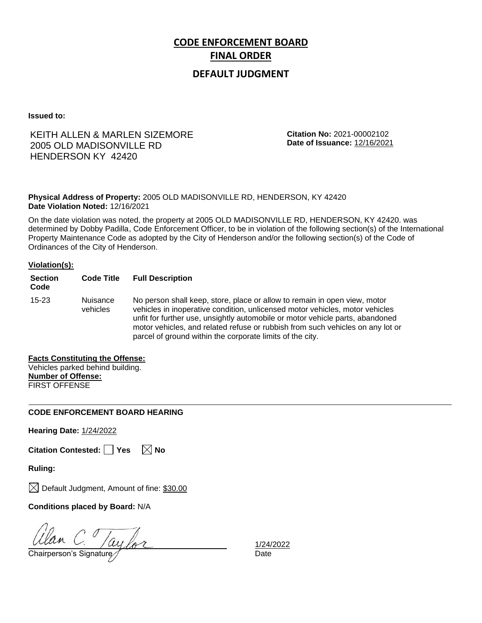# **DEFAULT JUDGMENT**

**Issued to:**

# KEITH ALLEN & MARLEN SIZEMORE 2005 OLD MADISONVILLE RD HENDERSON KY 42420

**Citation No:** 2021-00002102 **Date of Issuance:** 12/16/2021

**Physical Address of Property:** 2005 OLD MADISONVILLE RD, HENDERSON, KY 42420 **Date Violation Noted:** 12/16/2021

On the date violation was noted, the property at 2005 OLD MADISONVILLE RD, HENDERSON, KY 42420. was determined by Dobby Padilla, Code Enforcement Officer, to be in violation of the following section(s) of the International Property Maintenance Code as adopted by the City of Henderson and/or the following section(s) of the Code of Ordinances of the City of Henderson.

### **Violation(s):**

| <b>Section</b><br>Code | <b>Code Title</b>    | <b>Full Description</b>                                                                                                                                                                                                                                                                                                                                                                   |
|------------------------|----------------------|-------------------------------------------------------------------------------------------------------------------------------------------------------------------------------------------------------------------------------------------------------------------------------------------------------------------------------------------------------------------------------------------|
| $15 - 23$              | Nuisance<br>vehicles | No person shall keep, store, place or allow to remain in open view, motor<br>vehicles in inoperative condition, unlicensed motor vehicles, motor vehicles<br>unfit for further use, unsightly automobile or motor vehicle parts, abandoned<br>motor vehicles, and related refuse or rubbish from such vehicles on any lot or<br>parcel of ground within the corporate limits of the city. |

## **Facts Constituting the Offense:**

|                           | Vehicles parked behind building. |
|---------------------------|----------------------------------|
| <b>Number of Offense:</b> |                                  |
| <b>FIRST OFFENSE</b>      |                                  |

## **CODE ENFORCEMENT BOARD HEARING**

**Hearing Date:** 1/24/2022

| Citation Contested: Yes |  | $\boxtimes$ No |
|-------------------------|--|----------------|
|-------------------------|--|----------------|

**Ruling:**

 $\boxtimes$  Default Judgment, Amount of fine: \$30.00

**Conditions placed by Board:** N/A

 $\frac{U$ lan C.  $/ay$  for  $\frac{1}{24}$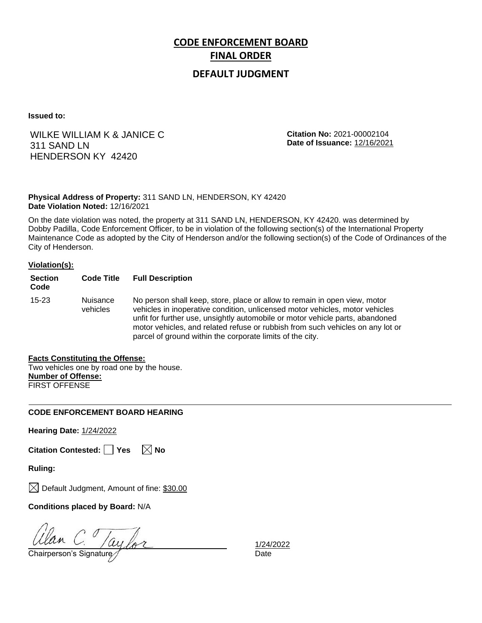# **DEFAULT JUDGMENT**

**Issued to:**

# WILKE WILLIAM K & JANICE C 311 SAND LN HENDERSON KY 42420

**Citation No:** 2021-00002104 **Date of Issuance:** 12/16/2021

## **Physical Address of Property:** 311 SAND LN, HENDERSON, KY 42420 **Date Violation Noted:** 12/16/2021

On the date violation was noted, the property at 311 SAND LN, HENDERSON, KY 42420. was determined by Dobby Padilla, Code Enforcement Officer, to be in violation of the following section(s) of the International Property Maintenance Code as adopted by the City of Henderson and/or the following section(s) of the Code of Ordinances of the City of Henderson.

## **Violation(s):**

| <b>Section</b><br>Code | <b>Code Title</b>    | <b>Full Description</b>                                                                                                                                                                                                                                                                                                                                                                   |
|------------------------|----------------------|-------------------------------------------------------------------------------------------------------------------------------------------------------------------------------------------------------------------------------------------------------------------------------------------------------------------------------------------------------------------------------------------|
| $15 - 23$              | Nuisance<br>vehicles | No person shall keep, store, place or allow to remain in open view, motor<br>vehicles in inoperative condition, unlicensed motor vehicles, motor vehicles<br>unfit for further use, unsightly automobile or motor vehicle parts, abandoned<br>motor vehicles, and related refuse or rubbish from such vehicles on any lot or<br>parcel of ground within the corporate limits of the city. |

## **Facts Constituting the Offense:**

Two vehicles one by road one by the house. **Number of Offense:** FIRST OFFENSE

## **CODE ENFORCEMENT BOARD HEARING**

**Hearing Date:** 1/24/2022

| Citation Contested: Yes |  |  | $\boxtimes$ No |
|-------------------------|--|--|----------------|
|-------------------------|--|--|----------------|

**Ruling:**

 $\boxtimes$  Default Judgment, Amount of fine: \$30.00

**Conditions placed by Board:** N/A

 $\frac{U$ lan C.  $/ay$  for  $\frac{1}{24}$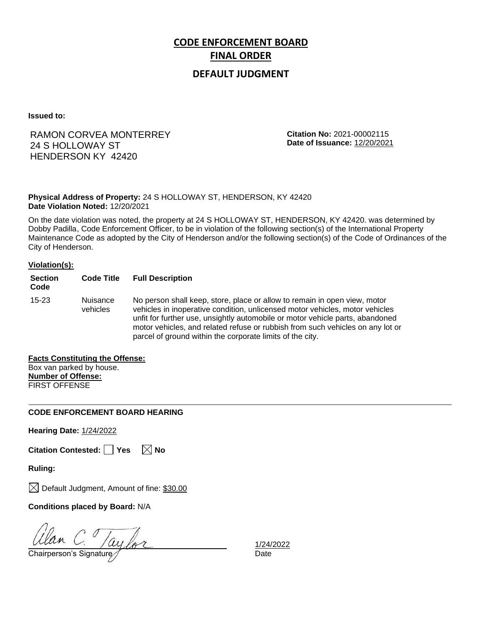# **DEFAULT JUDGMENT**

**Issued to:**

# RAMON CORVEA MONTERREY 24 S HOLLOWAY ST HENDERSON KY 42420

**Citation No:** 2021-00002115 **Date of Issuance:** 12/20/2021

**Physical Address of Property:** 24 S HOLLOWAY ST, HENDERSON, KY 42420 **Date Violation Noted:** 12/20/2021

On the date violation was noted, the property at 24 S HOLLOWAY ST, HENDERSON, KY 42420. was determined by Dobby Padilla, Code Enforcement Officer, to be in violation of the following section(s) of the International Property Maintenance Code as adopted by the City of Henderson and/or the following section(s) of the Code of Ordinances of the City of Henderson.

### **Violation(s):**

| <b>Section</b><br>Code | <b>Code Title</b>    | <b>Full Description</b>                                                                                                                                                                                                                                                                                                                                                                   |
|------------------------|----------------------|-------------------------------------------------------------------------------------------------------------------------------------------------------------------------------------------------------------------------------------------------------------------------------------------------------------------------------------------------------------------------------------------|
| $15 - 23$              | Nuisance<br>vehicles | No person shall keep, store, place or allow to remain in open view, motor<br>vehicles in inoperative condition, unlicensed motor vehicles, motor vehicles<br>unfit for further use, unsightly automobile or motor vehicle parts, abandoned<br>motor vehicles, and related refuse or rubbish from such vehicles on any lot or<br>parcel of ground within the corporate limits of the city. |

## **Facts Constituting the Offense:**

Box van parked by house. **Number of Offense:** FIRST OFFENSE

## **CODE ENFORCEMENT BOARD HEARING**

**Hearing Date:** 1/24/2022

| Citation Contested: Yes |  | $\boxtimes$ No |
|-------------------------|--|----------------|
|-------------------------|--|----------------|

**Ruling:**

 $\boxtimes$  Default Judgment, Amount of fine: \$30.00

**Conditions placed by Board:** N/A

 $\frac{U$ lan C.  $/ay$  for  $\frac{1}{24}$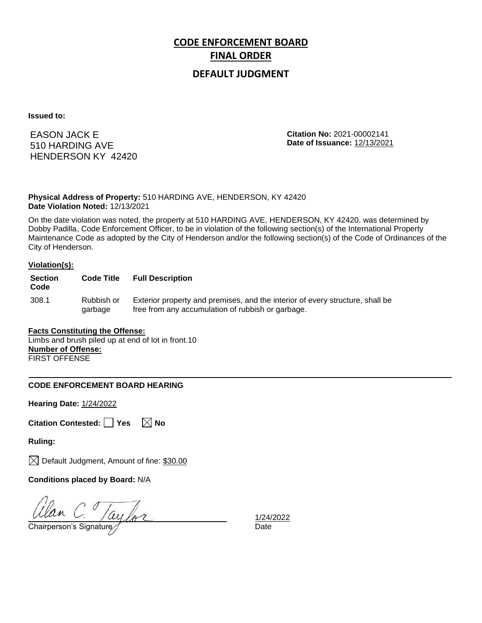# **DEFAULT JUDGMENT**

**Issued to:**

EASON JACK E 510 HARDING AVE HENDERSON KY 42420 **Citation No:** 2021-00002141 **Date of Issuance:** 12/13/2021

**Physical Address of Property:** 510 HARDING AVE, HENDERSON, KY 42420 **Date Violation Noted:** 12/13/2021

On the date violation was noted, the property at 510 HARDING AVE, HENDERSON, KY 42420. was determined by Dobby Padilla, Code Enforcement Officer, to be in violation of the following section(s) of the International Property Maintenance Code as adopted by the City of Henderson and/or the following section(s) of the Code of Ordinances of the City of Henderson.

### **Violation(s):**

| <b>Section</b><br>Code | <b>Code Title</b>     | <b>Full Description</b>                                                                                                            |
|------------------------|-----------------------|------------------------------------------------------------------------------------------------------------------------------------|
| 308.1                  | Rubbish or<br>garbage | Exterior property and premises, and the interior of every structure, shall be<br>free from any accumulation of rubbish or garbage. |

## **Facts Constituting the Offense:**

Limbs and brush piled up at end of lot in front.10 **Number of Offense:** FIRST OFFENSE

## **CODE ENFORCEMENT BOARD HEARING**

**Hearing Date:** 1/24/2022

|  | Citation Contested: Yes |  |  | $\boxtimes$ No |  |
|--|-------------------------|--|--|----------------|--|
|--|-------------------------|--|--|----------------|--|

**Ruling:**

 $\boxtimes$  Default Judgment, Amount of fine: \$30.00

**Conditions placed by Board:** N/A

 $\frac{d}{d}$ C.  $\frac{1}{2}$   $\frac{1}{24}$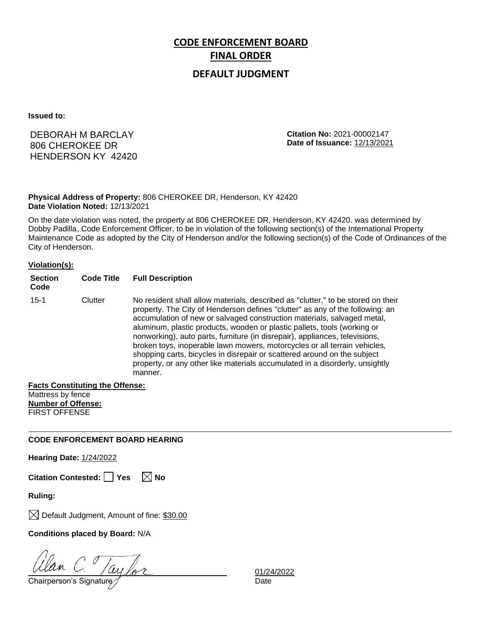# **DEFAULT JUDGMENT**

**Issued to:**

# DEBORAH M BARCLAY 806 CHEROKEE DR HENDERSON KY 42420

**Citation No:** 2021-00002147 **Date of Issuance:** 12/13/2021

**Physical Address of Property:** 806 CHEROKEE DR, Henderson, KY 42420 **Date Violation Noted:** 12/13/2021

On the date violation was noted, the property at 806 CHEROKEE DR, Henderson, KY 42420. was determined by Dobby Padilla, Code Enforcement Officer, to be in violation of the following section(s) of the International Property Maintenance Code as adopted by the City of Henderson and/or the following section(s) of the Code of Ordinances of the City of Henderson.

## **Violation(s):**

| <b>Section</b><br>Code | <b>Code Title</b> | <b>Full Description</b>                                                                                                                                                                                                                                                                                                                                                                                                                                                                                                                                                                                                                                     |
|------------------------|-------------------|-------------------------------------------------------------------------------------------------------------------------------------------------------------------------------------------------------------------------------------------------------------------------------------------------------------------------------------------------------------------------------------------------------------------------------------------------------------------------------------------------------------------------------------------------------------------------------------------------------------------------------------------------------------|
| $15 - 1$               | Clutter           | No resident shall allow materials, described as "clutter," to be stored on their<br>property. The City of Henderson defines "clutter" as any of the following: an<br>accumulation of new or salvaged construction materials, salvaged metal,<br>aluminum, plastic products, wooden or plastic pallets, tools (working or<br>nonworking), auto parts, furniture (in disrepair), appliances, televisions,<br>broken toys, inoperable lawn mowers, motorcycles or all terrain vehicles,<br>shopping carts, bicycles in disrepair or scattered around on the subject<br>property, or any other like materials accumulated in a disorderly, unsightly<br>manner. |

## **Facts Constituting the Offense:**

Mattress by fence **Number of Offense:** FIRST OFFENSE

## **CODE ENFORCEMENT BOARD HEARING**

**Hearing Date:** 1/24/2022

**Citation Contested:** □ Yes  $\ \ \mathbb{\times}$  No

**Ruling:**

 $\boxtimes$  Default Judgment, Amount of fine: \$30.00

**Conditions placed by Board:** N/A

Chairperson's Signature *Date* Date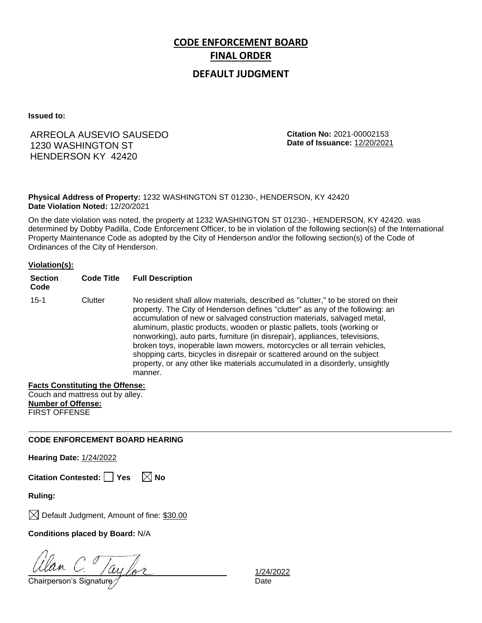# **DEFAULT JUDGMENT**

**Issued to:**

# ARREOLA AUSEVIO SAUSEDO 1230 WASHINGTON ST HENDERSON KY 42420

**Citation No:** 2021-00002153 **Date of Issuance:** 12/20/2021

**Physical Address of Property:** 1232 WASHINGTON ST 01230-, HENDERSON, KY 42420 **Date Violation Noted:** 12/20/2021

On the date violation was noted, the property at 1232 WASHINGTON ST 01230-, HENDERSON, KY 42420. was determined by Dobby Padilla, Code Enforcement Officer, to be in violation of the following section(s) of the International Property Maintenance Code as adopted by the City of Henderson and/or the following section(s) of the Code of Ordinances of the City of Henderson.

### **Violation(s):**

| <b>Section</b><br>Code | <b>Code Title</b> | <b>Full Description</b>                                                                                                                                                                                                                                                                                                                                                                                                                                                                                                                                                                                                                                     |
|------------------------|-------------------|-------------------------------------------------------------------------------------------------------------------------------------------------------------------------------------------------------------------------------------------------------------------------------------------------------------------------------------------------------------------------------------------------------------------------------------------------------------------------------------------------------------------------------------------------------------------------------------------------------------------------------------------------------------|
| $15 - 1$               | Clutter           | No resident shall allow materials, described as "clutter," to be stored on their<br>property. The City of Henderson defines "clutter" as any of the following: an<br>accumulation of new or salvaged construction materials, salvaged metal,<br>aluminum, plastic products, wooden or plastic pallets, tools (working or<br>nonworking), auto parts, furniture (in disrepair), appliances, televisions,<br>broken toys, inoperable lawn mowers, motorcycles or all terrain vehicles,<br>shopping carts, bicycles in disrepair or scattered around on the subject<br>property, or any other like materials accumulated in a disorderly, unsightly<br>manner. |

## **Facts Constituting the Offense:**

Couch and mattress out by alley. **Number of Offense:** FIRST OFFENSE

## **CODE ENFORCEMENT BOARD HEARING**

**Hearing Date:** 1/24/2022

**Citation Contested:** □ Yes  $\ \ \mathbb{\times}$  No

**Ruling:**

 $\boxtimes$  Default Judgment, Amount of fine: \$30.00

**Conditions placed by Board:** N/A

Chairperson's Signature Date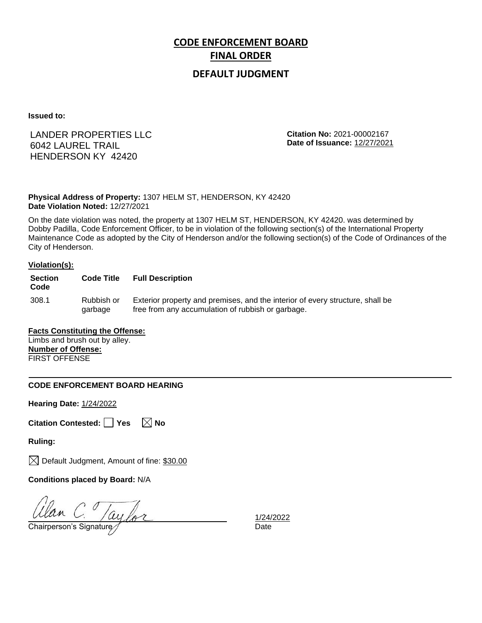# **DEFAULT JUDGMENT**

**Issued to:**

# LANDER PROPERTIES LLC 6042 LAUREL TRAIL HENDERSON KY 42420

**Citation No:** 2021-00002167 **Date of Issuance:** 12/27/2021

**Physical Address of Property:** 1307 HELM ST, HENDERSON, KY 42420 **Date Violation Noted:** 12/27/2021

On the date violation was noted, the property at 1307 HELM ST, HENDERSON, KY 42420. was determined by Dobby Padilla, Code Enforcement Officer, to be in violation of the following section(s) of the International Property Maintenance Code as adopted by the City of Henderson and/or the following section(s) of the Code of Ordinances of the City of Henderson.

### **Violation(s):**

| <b>Section</b><br>Code | <b>Code Title</b>     | <b>Full Description</b>                                                                                                            |
|------------------------|-----------------------|------------------------------------------------------------------------------------------------------------------------------------|
| 308.1                  | Rubbish or<br>garbage | Exterior property and premises, and the interior of every structure, shall be<br>free from any accumulation of rubbish or garbage. |

## **Facts Constituting the Offense:**

Limbs and brush out by alley. **Number of Offense:** FIRST OFFENSE

## **CODE ENFORCEMENT BOARD HEARING**

**Hearing Date:** 1/24/2022

|  | Citation Contested: Yes |  |  | $\boxtimes$ No |  |
|--|-------------------------|--|--|----------------|--|
|--|-------------------------|--|--|----------------|--|

**Ruling:**

 $\boxtimes$  Default Judgment, Amount of fine: \$30.00

**Conditions placed by Board:** N/A

 $\frac{d}{d}$ C.  $\frac{1}{2}$   $\frac{1}{24}$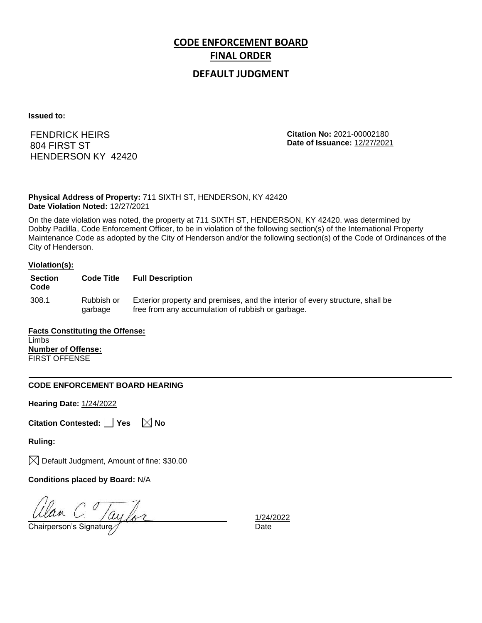# **DEFAULT JUDGMENT**

**Issued to:**

FENDRICK HEIRS 804 FIRST ST HENDERSON KY 42420 **Citation No:** 2021-00002180 **Date of Issuance:** 12/27/2021

**Physical Address of Property:** 711 SIXTH ST, HENDERSON, KY 42420 **Date Violation Noted:** 12/27/2021

On the date violation was noted, the property at 711 SIXTH ST, HENDERSON, KY 42420. was determined by Dobby Padilla, Code Enforcement Officer, to be in violation of the following section(s) of the International Property Maintenance Code as adopted by the City of Henderson and/or the following section(s) of the Code of Ordinances of the City of Henderson.

#### **Violation(s):**

| <b>Section</b><br>Code | <b>Code Title</b>     | <b>Full Description</b>                                                                                                            |
|------------------------|-----------------------|------------------------------------------------------------------------------------------------------------------------------------|
| 308.1                  | Rubbish or<br>garbage | Exterior property and premises, and the interior of every structure, shall be<br>free from any accumulation of rubbish or garbage. |

**Facts Constituting the Offense:** Limbs **Number of Offense:** FIRST OFFENSE

## **CODE ENFORCEMENT BOARD HEARING**

**Hearing Date:** 1/24/2022

|  | Citation Contested:   Yes |  |  |  | $\boxtimes$ No |
|--|---------------------------|--|--|--|----------------|
|--|---------------------------|--|--|--|----------------|

**Ruling:**

 $\boxtimes$  Default Judgment, Amount of fine: \$30.00

**Conditions placed by Board:** N/A

 $\frac{d}{d}$ C.  $\frac{1}{2}$   $\frac{1}{24}$